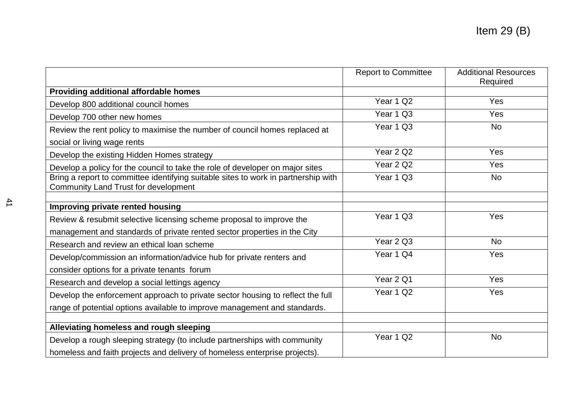|                                                                                                                            | <b>Report to Committee</b> | <b>Additional Resources</b><br>Required |
|----------------------------------------------------------------------------------------------------------------------------|----------------------------|-----------------------------------------|
| Providing additional affordable homes                                                                                      |                            |                                         |
| Develop 800 additional council homes                                                                                       | Year 1 Q2                  | <b>Yes</b>                              |
| Develop 700 other new homes                                                                                                | Year 1 Q3                  | Yes                                     |
| Review the rent policy to maximise the number of council homes replaced at                                                 | Year 1 Q3                  | <b>No</b>                               |
| social or living wage rents                                                                                                |                            |                                         |
| Develop the existing Hidden Homes strategy                                                                                 | Year 2 Q2                  | <b>Yes</b>                              |
| Develop a policy for the council to take the role of developer on major sites                                              | Year 2 Q2                  | <b>Yes</b>                              |
| Bring a report to committee identifying suitable sites to work in partnership with<br>Community Land Trust for development | Year 1 Q3                  | <b>No</b>                               |
| Improving private rented housing                                                                                           |                            |                                         |
| Review & resubmit selective licensing scheme proposal to improve the                                                       | Year 1 Q3                  | Yes                                     |
| management and standards of private rented sector properties in the City                                                   |                            |                                         |
| Research and review an ethical loan scheme                                                                                 | Year 2 Q3                  | <b>No</b>                               |
| Develop/commission an information/advice hub for private renters and                                                       | Year 1 Q4                  | Yes                                     |
| consider options for a private tenants forum                                                                               |                            |                                         |
| Research and develop a social lettings agency                                                                              | Year 2 Q1                  | Yes                                     |
| Develop the enforcement approach to private sector housing to reflect the full                                             | Year 1 Q2                  | Yes                                     |
| range of potential options available to improve management and standards.                                                  |                            |                                         |
|                                                                                                                            |                            |                                         |
| Alleviating homeless and rough sleeping                                                                                    |                            |                                         |
| Develop a rough sleeping strategy (to include partnerships with community                                                  | Year 1 Q2                  | <b>No</b>                               |
| homeless and faith projects and delivery of homeless enterprise projects).                                                 |                            |                                         |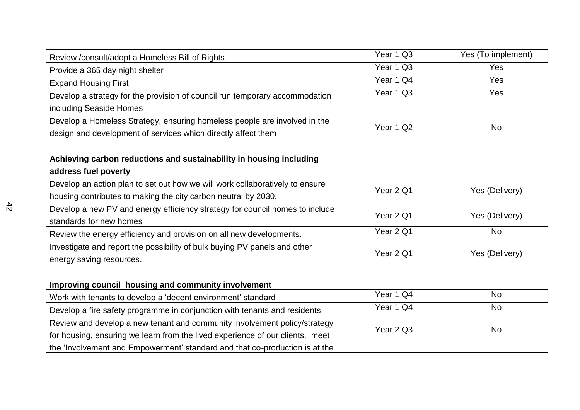| Review /consult/adopt a Homeless Bill of Rights                                                                                                                                                                                           | Year 1 Q3 | Yes (To implement) |
|-------------------------------------------------------------------------------------------------------------------------------------------------------------------------------------------------------------------------------------------|-----------|--------------------|
| Provide a 365 day night shelter                                                                                                                                                                                                           | Year 1 Q3 | Yes                |
| <b>Expand Housing First</b>                                                                                                                                                                                                               | Year 1 Q4 | <b>Yes</b>         |
| Develop a strategy for the provision of council run temporary accommodation<br>including Seaside Homes                                                                                                                                    | Year 1 Q3 | Yes                |
| Develop a Homeless Strategy, ensuring homeless people are involved in the<br>design and development of services which directly affect them                                                                                                | Year 1 Q2 | <b>No</b>          |
| Achieving carbon reductions and sustainability in housing including<br>address fuel poverty                                                                                                                                               |           |                    |
| Develop an action plan to set out how we will work collaboratively to ensure<br>housing contributes to making the city carbon neutral by 2030.                                                                                            | Year 2 Q1 | Yes (Delivery)     |
| Develop a new PV and energy efficiency strategy for council homes to include<br>standards for new homes                                                                                                                                   | Year 2 Q1 | Yes (Delivery)     |
| Review the energy efficiency and provision on all new developments.                                                                                                                                                                       | Year 2 Q1 | <b>No</b>          |
| Investigate and report the possibility of bulk buying PV panels and other<br>energy saving resources.                                                                                                                                     | Year 2 Q1 | Yes (Delivery)     |
|                                                                                                                                                                                                                                           |           |                    |
| Improving council housing and community involvement                                                                                                                                                                                       |           |                    |
| Work with tenants to develop a 'decent environment' standard                                                                                                                                                                              | Year 1 Q4 | <b>No</b>          |
| Develop a fire safety programme in conjunction with tenants and residents                                                                                                                                                                 | Year 1 Q4 | <b>No</b>          |
| Review and develop a new tenant and community involvement policy/strategy<br>for housing, ensuring we learn from the lived experience of our clients, meet<br>the 'Involvement and Empowerment' standard and that co-production is at the | Year 2 Q3 | <b>No</b>          |
|                                                                                                                                                                                                                                           |           |                    |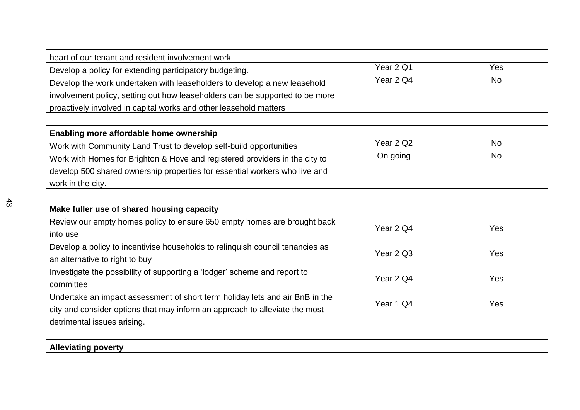| heart of our tenant and resident involvement work                             |           |           |
|-------------------------------------------------------------------------------|-----------|-----------|
| Develop a policy for extending participatory budgeting.                       | Year 2 Q1 | Yes       |
|                                                                               | Year 2 Q4 | <b>No</b> |
| Develop the work undertaken with leaseholders to develop a new leasehold      |           |           |
| involvement policy, setting out how leaseholders can be supported to be more  |           |           |
| proactively involved in capital works and other leasehold matters             |           |           |
|                                                                               |           |           |
| Enabling more affordable home ownership                                       |           |           |
| Work with Community Land Trust to develop self-build opportunities            | Year 2 Q2 | <b>No</b> |
| Work with Homes for Brighton & Hove and registered providers in the city to   | On going  | <b>No</b> |
| develop 500 shared ownership properties for essential workers who live and    |           |           |
| work in the city.                                                             |           |           |
|                                                                               |           |           |
| Make fuller use of shared housing capacity                                    |           |           |
| Review our empty homes policy to ensure 650 empty homes are brought back      |           | Yes       |
| into use                                                                      | Year 2 Q4 |           |
| Develop a policy to incentivise households to relinquish council tenancies as |           |           |
| an alternative to right to buy                                                | Year 2 Q3 | Yes       |
| Investigate the possibility of supporting a 'lodger' scheme and report to     |           |           |
| committee                                                                     | Year 2 Q4 | Yes       |
| Undertake an impact assessment of short term holiday lets and air BnB in the  |           |           |
|                                                                               | Year 1 Q4 | Yes       |
| city and consider options that may inform an approach to alleviate the most   |           |           |
| detrimental issues arising.                                                   |           |           |
|                                                                               |           |           |
| <b>Alleviating poverty</b>                                                    |           |           |